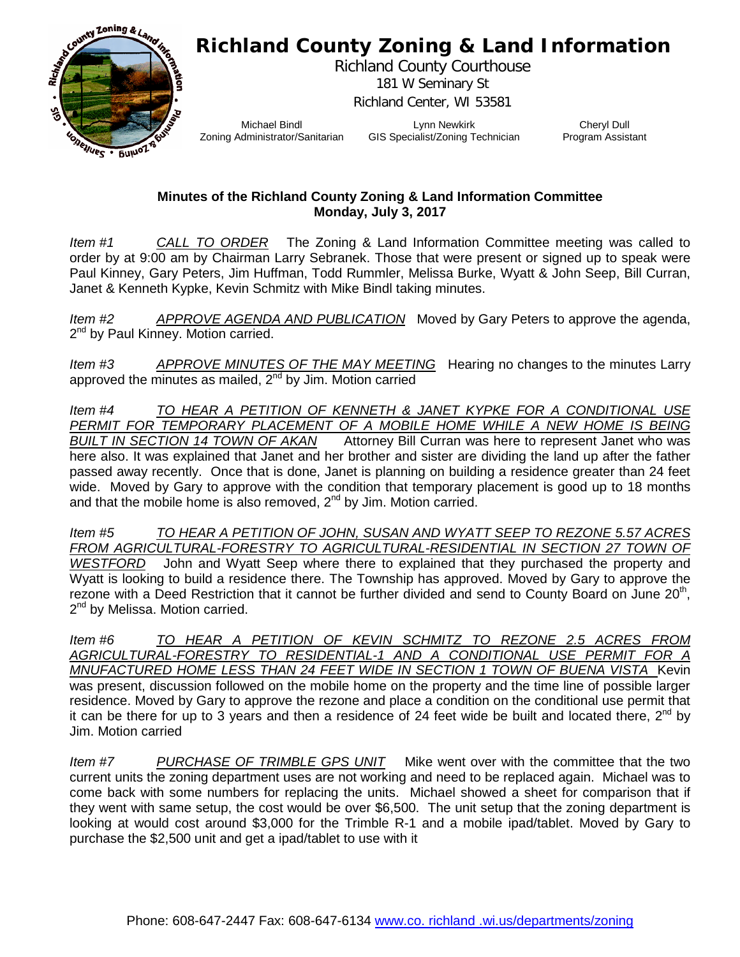## **Richland County Zoning & Land Information**



Richland County Courthouse 181 W Seminary St Richland Center, WI 53581

Michael Bindl Zoning Administrator/Sanitarian

Lynn Newkirk GIS Specialist/Zoning Technician

Cheryl Dull Program Assistant

## **Minutes of the Richland County Zoning & Land Information Committee Monday, July 3, 2017**

*Item #1 CALL TO ORDER* The Zoning & Land Information Committee meeting was called to order by at 9:00 am by Chairman Larry Sebranek. Those that were present or signed up to speak were Paul Kinney, Gary Peters, Jim Huffman, Todd Rummler, Melissa Burke, Wyatt & John Seep, Bill Curran, Janet & Kenneth Kypke, Kevin Schmitz with Mike Bindl taking minutes.

*Item #2 APPROVE AGENDA AND PUBLICATION* Moved by Gary Peters to approve the agenda, 2<sup>nd</sup> by Paul Kinney. Motion carried.

*Item #3 APPROVE MINUTES OF THE MAY MEETING* Hearing no changes to the minutes Larry approved the minutes as mailed,  $2<sup>nd</sup>$  by Jim. Motion carried

*Item #4 TO HEAR A PETITION OF KENNETH & JANET KYPKE FOR A CONDITIONAL USE PERMIT FOR TEMPORARY PLACEMENT OF A MOBILE HOME WHILE A NEW HOME IS BEING BUILT IN SECTION 14 TOWN OF AKAN* Attorney Bill Curran was here to represent Janet who was here also. It was explained that Janet and her brother and sister are dividing the land up after the father passed away recently. Once that is done, Janet is planning on building a residence greater than 24 feet wide. Moved by Gary to approve with the condition that temporary placement is good up to 18 months and that the mobile home is also removed,  $2^{nd}$  by Jim. Motion carried.

*Item #5 TO HEAR A PETITION OF JOHN, SUSAN AND WYATT SEEP TO REZONE 5.57 ACRES*  FROM AGRICULTURAL-FORESTRY TO AGRICULTURAL-RESIDENTIAL IN SECTION 27 TOWN OF *WESTFORD* John and Wyatt Seep where there to explained that they purchased the property and Wyatt is looking to build a residence there. The Township has approved. Moved by Gary to approve the rezone with a Deed Restriction that it cannot be further divided and send to County Board on June  $20<sup>th</sup>$ ,  $2<sup>nd</sup>$  by Melissa. Motion carried.

*Item #6 TO HEAR A PETITION OF KEVIN SCHMITZ TO REZONE 2.5 ACRES FROM AGRICULTURAL-FORESTRY TO RESIDENTIAL-1 AND A CONDITIONAL USE PERMIT FOR A MNUFACTURED HOME LESS THAN 24 FEET WIDE IN SECTION 1 TOWN OF BUENA VISTA* Kevin was present, discussion followed on the mobile home on the property and the time line of possible larger residence. Moved by Gary to approve the rezone and place a condition on the conditional use permit that it can be there for up to 3 years and then a residence of 24 feet wide be built and located there,  $2^{nd}$  by Jim. Motion carried

*Item #7 PURCHASE OF TRIMBLE GPS UNIT* Mike went over with the committee that the two current units the zoning department uses are not working and need to be replaced again. Michael was to come back with some numbers for replacing the units. Michael showed a sheet for comparison that if they went with same setup, the cost would be over \$6,500. The unit setup that the zoning department is looking at would cost around \$3,000 for the Trimble R-1 and a mobile ipad/tablet. Moved by Gary to purchase the \$2,500 unit and get a ipad/tablet to use with it